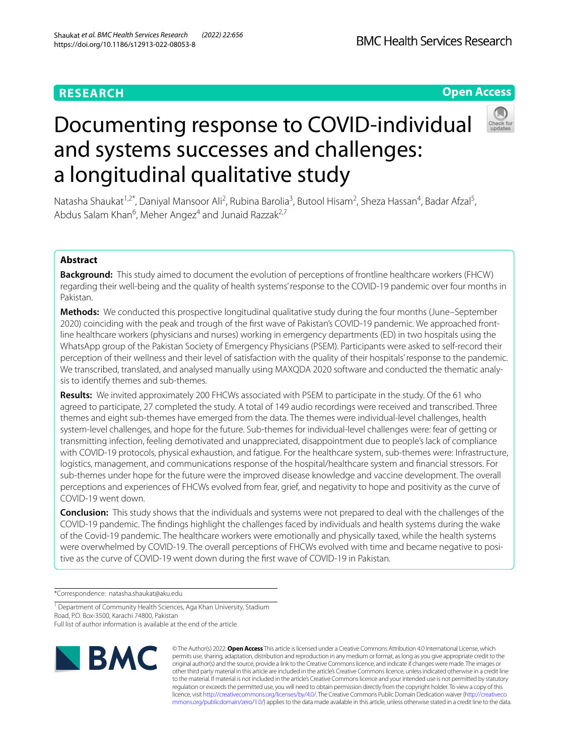# Documenting response to COVID-individual and systems successes and challenges: a longitudinal qualitative study

Natasha Shaukat<sup>1,2\*</sup>, Daniyal Mansoor Ali<sup>2</sup>, Rubina Barolia<sup>3</sup>, Butool Hisam<sup>2</sup>, Sheza Hassan<sup>4</sup>, Badar Afzal<sup>5</sup>, Abdus Salam Khan<sup>6</sup>, Meher Angez<sup>4</sup> and Junaid Razzak<sup>2,7</sup>

# **Abstract**

**Background:** This study aimed to document the evolution of perceptions of frontline healthcare workers (FHCW) regarding their well-being and the quality of health systems' response to the COVID-19 pandemic over four months in Pakistan.

**Methods:** We conducted this prospective longitudinal qualitative study during the four months (June–September 2020) coinciding with the peak and trough of the frst wave of Pakistan's COVID-19 pandemic. We approached frontline healthcare workers (physicians and nurses) working in emergency departments (ED) in two hospitals using the WhatsApp group of the Pakistan Society of Emergency Physicians (PSEM). Participants were asked to self-record their perception of their wellness and their level of satisfaction with the quality of their hospitals' response to the pandemic. We transcribed, translated, and analysed manually using MAXQDA 2020 software and conducted the thematic analysis to identify themes and sub-themes.

**Results:** We invited approximately 200 FHCWs associated with PSEM to participate in the study. Of the 61 who agreed to participate, 27 completed the study. A total of 149 audio recordings were received and transcribed. Three themes and eight sub-themes have emerged from the data. The themes were individual-level challenges, health system-level challenges, and hope for the future. Sub-themes for individual-level challenges were: fear of getting or transmitting infection, feeling demotivated and unappreciated, disappointment due to people's lack of compliance with COVID-19 protocols, physical exhaustion, and fatigue. For the healthcare system, sub-themes were: Infrastructure, logistics, management, and communications response of the hospital/healthcare system and fnancial stressors. For sub-themes under hope for the future were the improved disease knowledge and vaccine development. The overall perceptions and experiences of FHCWs evolved from fear, grief, and negativity to hope and positivity as the curve of COVID-19 went down.

**Conclusion:** This study shows that the individuals and systems were not prepared to deal with the challenges of the COVID-19 pandemic. The fndings highlight the challenges faced by individuals and health systems during the wake of the Covid-19 pandemic. The healthcare workers were emotionally and physically taxed, while the health systems were overwhelmed by COVID-19. The overall perceptions of FHCWs evolved with time and became negative to positive as the curve of COVID-19 went down during the frst wave of COVID-19 in Pakistan.

\*Correspondence: natasha.shaukat@aku.edu

<sup>1</sup> Department of Community Health Sciences, Aga Khan University, Stadium Road, P.O. Box-3500, Karachi 74800, Pakistan

Full list of author information is available at the end of the article



**BMC Health Services Research** 





© The Author(s) 2022. **Open Access** This article is licensed under a Creative Commons Attribution 4.0 International License, which permits use, sharing, adaptation, distribution and reproduction in any medium or format, as long as you give appropriate credit to the original author(s) and the source, provide a link to the Creative Commons licence, and indicate if changes were made. The images or other third party material in this article are included in the article's Creative Commons licence, unless indicated otherwise in a credit line to the material. If material is not included in the article's Creative Commons licence and your intended use is not permitted by statutory regulation or exceeds the permitted use, you will need to obtain permission directly from the copyright holder. To view a copy of this licence, visit [http://creativecommons.org/licenses/by/4.0/.](http://creativecommons.org/licenses/by/4.0/) The Creative Commons Public Domain Dedication waiver ([http://creativeco](http://creativecommons.org/publicdomain/zero/1.0/) [mmons.org/publicdomain/zero/1.0/](http://creativecommons.org/publicdomain/zero/1.0/)) applies to the data made available in this article, unless otherwise stated in a credit line to the data.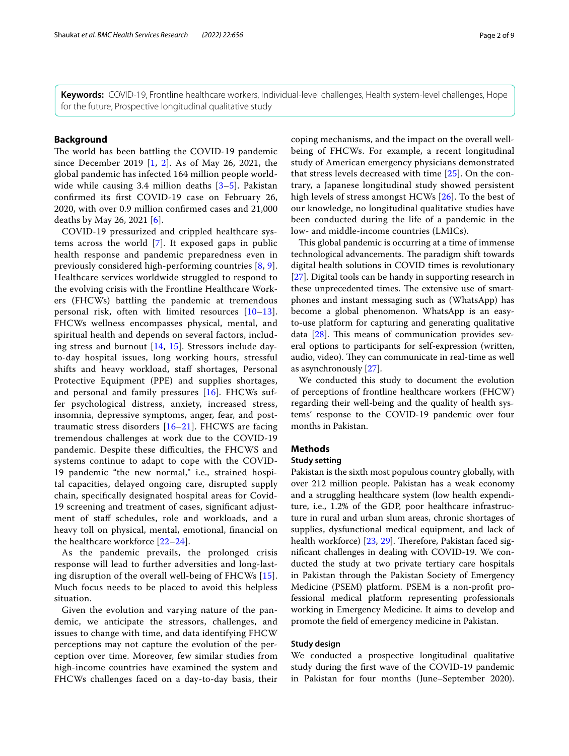**Keywords:** COVID-19, Frontline healthcare workers, Individual-level challenges, Health system-level challenges, Hope for the future, Prospective longitudinal qualitative study

# **Background**

The world has been battling the COVID-19 pandemic since December 2019 [\[1](#page-7-0), [2](#page-7-1)]. As of May 26, 2021, the global pandemic has infected 164 million people world-wide while causing [3](#page-8-0).4 million deaths  $[3-5]$  $[3-5]$  $[3-5]$ . Pakistan confrmed its frst COVID-19 case on February 26, 2020, with over 0.9 million confrmed cases and 21,000 deaths by May 26, 2021 [[6\]](#page-8-2).

COVID-19 pressurized and crippled healthcare systems across the world [[7\]](#page-8-3). It exposed gaps in public health response and pandemic preparedness even in previously considered high-performing countries [[8,](#page-8-4) [9\]](#page-8-5). Healthcare services worldwide struggled to respond to the evolving crisis with the Frontline Healthcare Workers (FHCWs) battling the pandemic at tremendous personal risk, often with limited resources [[10–](#page-8-6)[13\]](#page-8-7). FHCWs wellness encompasses physical, mental, and spiritual health and depends on several factors, including stress and burnout [[14](#page-8-8), [15](#page-8-9)]. Stressors include dayto-day hospital issues, long working hours, stressful shifts and heavy workload, staf shortages, Personal Protective Equipment (PPE) and supplies shortages, and personal and family pressures [[16\]](#page-8-10). FHCWs suffer psychological distress, anxiety, increased stress, insomnia, depressive symptoms, anger, fear, and posttraumatic stress disorders [[16](#page-8-10)[–21](#page-8-11)]. FHCWS are facing tremendous challenges at work due to the COVID-19 pandemic. Despite these difficulties, the FHCWS and systems continue to adapt to cope with the COVID-19 pandemic "the new normal," i.e., strained hospital capacities, delayed ongoing care, disrupted supply chain, specifcally designated hospital areas for Covid-19 screening and treatment of cases, signifcant adjustment of staff schedules, role and workloads, and a heavy toll on physical, mental, emotional, fnancial on the healthcare workforce [\[22](#page-8-12)–[24\]](#page-8-13).

As the pandemic prevails, the prolonged crisis response will lead to further adversities and long-lasting disruption of the overall well-being of FHCWs [[15\]](#page-8-9). Much focus needs to be placed to avoid this helpless situation.

Given the evolution and varying nature of the pandemic, we anticipate the stressors, challenges, and issues to change with time, and data identifying FHCW perceptions may not capture the evolution of the perception over time. Moreover, few similar studies from high-income countries have examined the system and FHCWs challenges faced on a day-to-day basis, their coping mechanisms, and the impact on the overall wellbeing of FHCWs. For example, a recent longitudinal study of American emergency physicians demonstrated that stress levels decreased with time [[25\]](#page-8-14). On the contrary, a Japanese longitudinal study showed persistent high levels of stress amongst HCWs [\[26](#page-8-15)]. To the best of our knowledge, no longitudinal qualitative studies have been conducted during the life of a pandemic in the low- and middle-income countries (LMICs).

This global pandemic is occurring at a time of immense technological advancements. The paradigm shift towards digital health solutions in COVID times is revolutionary [[27\]](#page-8-16). Digital tools can be handy in supporting research in these unprecedented times. The extensive use of smartphones and instant messaging such as (WhatsApp) has become a global phenomenon. WhatsApp is an easyto-use platform for capturing and generating qualitative data  $[28]$  $[28]$  $[28]$ . This means of communication provides several options to participants for self-expression (written, audio, video). They can communicate in real-time as well as asynchronously [[27\]](#page-8-16).

We conducted this study to document the evolution of perceptions of frontline healthcare workers (FHCW) regarding their well-being and the quality of health systems' response to the COVID-19 pandemic over four months in Pakistan.

## **Methods**

## **Study setting**

Pakistan is the sixth most populous country globally, with over 212 million people. Pakistan has a weak economy and a struggling healthcare system (low health expenditure, i.e., 1.2% of the GDP, poor healthcare infrastructure in rural and urban slum areas, chronic shortages of supplies, dysfunctional medical equipment, and lack of health workforce) [[23,](#page-8-18) [29\]](#page-8-19). Therefore, Pakistan faced signifcant challenges in dealing with COVID-19. We conducted the study at two private tertiary care hospitals in Pakistan through the Pakistan Society of Emergency Medicine (PSEM) platform. PSEM is a non-proft professional medical platform representing professionals working in Emergency Medicine. It aims to develop and promote the feld of emergency medicine in Pakistan.

## **Study design**

We conducted a prospective longitudinal qualitative study during the frst wave of the COVID-19 pandemic in Pakistan for four months (June–September 2020).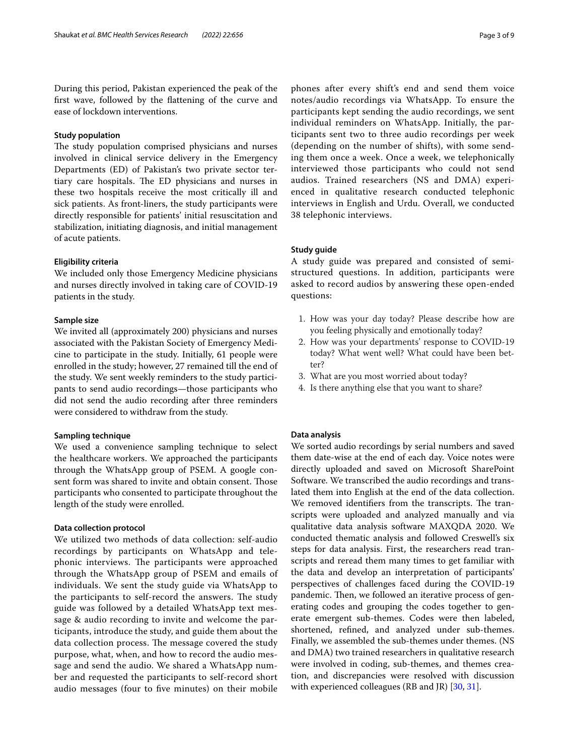During this period, Pakistan experienced the peak of the frst wave, followed by the fattening of the curve and ease of lockdown interventions.

#### **Study population**

The study population comprised physicians and nurses involved in clinical service delivery in the Emergency Departments (ED) of Pakistan's two private sector tertiary care hospitals. The ED physicians and nurses in these two hospitals receive the most critically ill and sick patients. As front-liners, the study participants were directly responsible for patients' initial resuscitation and stabilization, initiating diagnosis, and initial management of acute patients.

#### **Eligibility criteria**

We included only those Emergency Medicine physicians and nurses directly involved in taking care of COVID-19 patients in the study.

## **Sample size**

We invited all (approximately 200) physicians and nurses associated with the Pakistan Society of Emergency Medicine to participate in the study. Initially, 61 people were enrolled in the study; however, 27 remained till the end of the study. We sent weekly reminders to the study participants to send audio recordings—those participants who did not send the audio recording after three reminders were considered to withdraw from the study.

#### **Sampling technique**

We used a convenience sampling technique to select the healthcare workers. We approached the participants through the WhatsApp group of PSEM. A google consent form was shared to invite and obtain consent. Those participants who consented to participate throughout the length of the study were enrolled.

## **Data collection protocol**

We utilized two methods of data collection: self-audio recordings by participants on WhatsApp and telephonic interviews. The participants were approached through the WhatsApp group of PSEM and emails of individuals. We sent the study guide via WhatsApp to the participants to self-record the answers. The study guide was followed by a detailed WhatsApp text message & audio recording to invite and welcome the participants, introduce the study, and guide them about the data collection process. The message covered the study purpose, what, when, and how to record the audio message and send the audio. We shared a WhatsApp number and requested the participants to self-record short audio messages (four to fve minutes) on their mobile

phones after every shift's end and send them voice notes/audio recordings via WhatsApp. To ensure the participants kept sending the audio recordings, we sent individual reminders on WhatsApp. Initially, the participants sent two to three audio recordings per week (depending on the number of shifts), with some sending them once a week. Once a week, we telephonically interviewed those participants who could not send audios. Trained researchers (NS and DMA) experienced in qualitative research conducted telephonic interviews in English and Urdu. Overall, we conducted 38 telephonic interviews.

## **Study guide**

A study guide was prepared and consisted of semistructured questions. In addition, participants were asked to record audios by answering these open-ended questions:

- 1. How was your day today? Please describe how are you feeling physically and emotionally today?
- 2. How was your departments' response to COVID-19 today? What went well? What could have been better?
- 3. What are you most worried about today?
- 4. Is there anything else that you want to share?

#### **Data analysis**

We sorted audio recordings by serial numbers and saved them date-wise at the end of each day. Voice notes were directly uploaded and saved on Microsoft SharePoint Software. We transcribed the audio recordings and translated them into English at the end of the data collection. We removed identifiers from the transcripts. The transcripts were uploaded and analyzed manually and via qualitative data analysis software MAXQDA 2020. We conducted thematic analysis and followed Creswell's six steps for data analysis. First, the researchers read transcripts and reread them many times to get familiar with the data and develop an interpretation of participants' perspectives of challenges faced during the COVID-19 pandemic. Then, we followed an iterative process of generating codes and grouping the codes together to generate emergent sub-themes. Codes were then labeled, shortened, refned, and analyzed under sub-themes. Finally, we assembled the sub-themes under themes. (NS and DMA) two trained researchers in qualitative research were involved in coding, sub-themes, and themes creation, and discrepancies were resolved with discussion with experienced colleagues (RB and JR) [\[30](#page-8-20), [31\]](#page-8-21).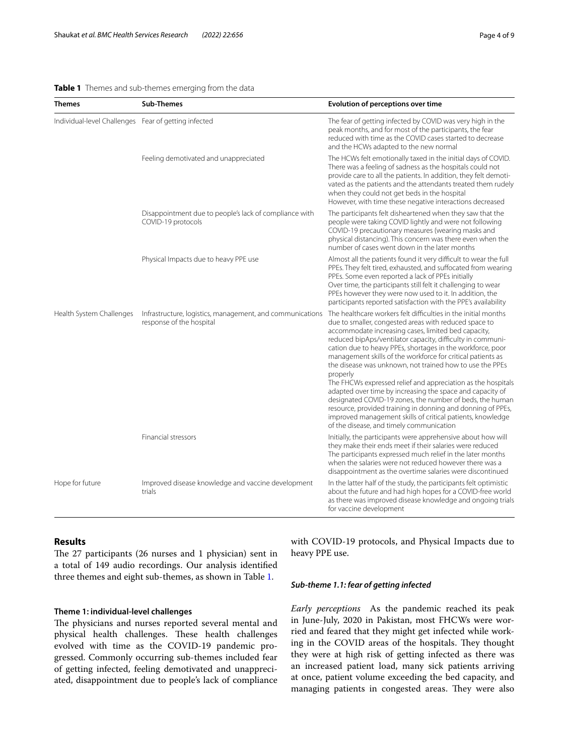## <span id="page-3-0"></span>**Table 1** Themes and sub-themes emerging from the data

| <b>Themes</b>                                        | <b>Sub-Themes</b>                                                                     | <b>Evolution of perceptions over time</b>                                                                                                                                                                                                                                                                                                                                                                                                         |
|------------------------------------------------------|---------------------------------------------------------------------------------------|---------------------------------------------------------------------------------------------------------------------------------------------------------------------------------------------------------------------------------------------------------------------------------------------------------------------------------------------------------------------------------------------------------------------------------------------------|
| Individual-level Challenges Fear of getting infected |                                                                                       | The fear of getting infected by COVID was very high in the<br>peak months, and for most of the participants, the fear<br>reduced with time as the COVID cases started to decrease<br>and the HCWs adapted to the new normal                                                                                                                                                                                                                       |
|                                                      | Feeling demotivated and unappreciated                                                 | The HCWs felt emotionally taxed in the initial days of COVID.<br>There was a feeling of sadness as the hospitals could not<br>provide care to all the patients. In addition, they felt demoti-<br>vated as the patients and the attendants treated them rudely<br>when they could not get beds in the hospital<br>However, with time these negative interactions decreased                                                                        |
|                                                      | Disappointment due to people's lack of compliance with<br>COVID-19 protocols          | The participants felt disheartened when they saw that the<br>people were taking COVID lightly and were not following<br>COVID-19 precautionary measures (wearing masks and<br>physical distancing). This concern was there even when the<br>number of cases went down in the later months                                                                                                                                                         |
|                                                      | Physical Impacts due to heavy PPE use                                                 | Almost all the patients found it very difficult to wear the full<br>PPEs. They felt tired, exhausted, and suffocated from wearing<br>PPEs. Some even reported a lack of PPEs initially<br>Over time, the participants still felt it challenging to wear<br>PPEs however they were now used to it. In addition, the<br>participants reported satisfaction with the PPE's availability                                                              |
| Health System Challenges                             | Infrastructure, logistics, management, and communications<br>response of the hospital | The healthcare workers felt difficulties in the initial months<br>due to smaller, congested areas with reduced space to<br>accommodate increasing cases, limited bed capacity,<br>reduced bipAps/ventilator capacity, difficulty in communi-<br>cation due to heavy PPEs, shortages in the workforce, poor<br>management skills of the workforce for critical patients as<br>the disease was unknown, not trained how to use the PPEs<br>properly |
|                                                      |                                                                                       | The FHCWs expressed relief and appreciation as the hospitals<br>adapted over time by increasing the space and capacity of<br>designated COVID-19 zones, the number of beds, the human<br>resource, provided training in donning and donning of PPEs,<br>improved management skills of critical patients, knowledge<br>of the disease, and timely communication                                                                                    |
|                                                      | Financial stressors                                                                   | Initially, the participants were apprehensive about how will<br>they make their ends meet if their salaries were reduced<br>The participants expressed much relief in the later months<br>when the salaries were not reduced however there was a<br>disappointment as the overtime salaries were discontinued                                                                                                                                     |
| Hope for future                                      | Improved disease knowledge and vaccine development<br>trials                          | In the latter half of the study, the participants felt optimistic<br>about the future and had high hopes for a COVID-free world<br>as there was improved disease knowledge and ongoing trials<br>for vaccine development                                                                                                                                                                                                                          |

# **Results**

The  $27$  participants (26 nurses and 1 physician) sent in a total of 149 audio recordings. Our analysis identifed three themes and eight sub-themes, as shown in Table [1](#page-3-0).

## **Theme 1: individual‑level challenges**

The physicians and nurses reported several mental and physical health challenges. These health challenges evolved with time as the COVID-19 pandemic progressed. Commonly occurring sub-themes included fear of getting infected, feeling demotivated and unappreciated, disappointment due to people's lack of compliance with COVID-19 protocols, and Physical Impacts due to heavy PPE use.

## *Sub‑theme 1.1: fear of getting infected*

*Early perceptions* As the pandemic reached its peak in June-July, 2020 in Pakistan, most FHCWs were worried and feared that they might get infected while working in the COVID areas of the hospitals. They thought they were at high risk of getting infected as there was an increased patient load, many sick patients arriving at once, patient volume exceeding the bed capacity, and managing patients in congested areas. They were also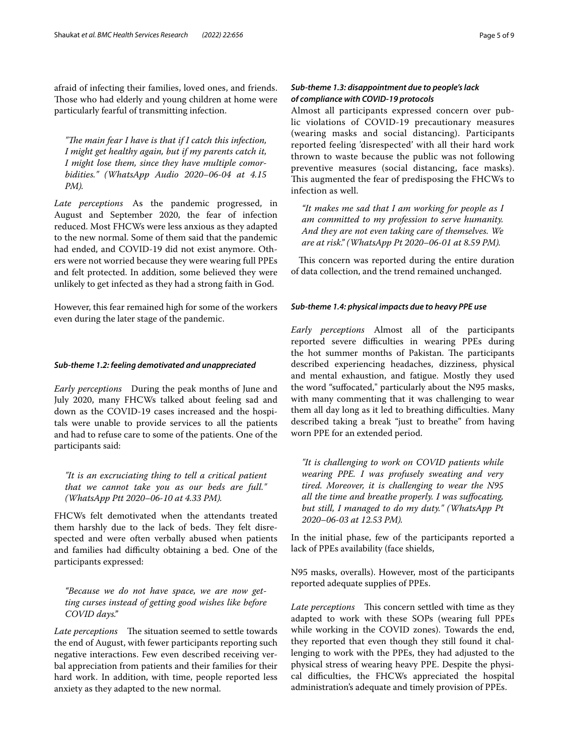afraid of infecting their families, loved ones, and friends. Those who had elderly and young children at home were particularly fearful of transmitting infection.

*"The main fear I have is that if I catch this infection, I might get healthy again, but if my parents catch it, I might lose them, since they have multiple comorbidities." (WhatsApp Audio 2020–06-04 at 4.15 PM).*

*Late perceptions* As the pandemic progressed, in August and September 2020, the fear of infection reduced. Most FHCWs were less anxious as they adapted to the new normal. Some of them said that the pandemic had ended, and COVID-19 did not exist anymore. Others were not worried because they were wearing full PPEs and felt protected. In addition, some believed they were unlikely to get infected as they had a strong faith in God.

However, this fear remained high for some of the workers even during the later stage of the pandemic.

## *Sub‑theme 1.2: feeling demotivated and unappreciated*

*Early perceptions* During the peak months of June and July 2020, many FHCWs talked about feeling sad and down as the COVID-19 cases increased and the hospitals were unable to provide services to all the patients and had to refuse care to some of the patients. One of the participants said:

*"It is an excruciating thing to tell a critical patient that we cannot take you as our beds are full." (WhatsApp Ptt 2020–06-10 at 4.33 PM).*

FHCWs felt demotivated when the attendants treated them harshly due to the lack of beds. They felt disrespected and were often verbally abused when patients and families had difficulty obtaining a bed. One of the participants expressed:

*"Because we do not have space, we are now getting curses instead of getting good wishes like before COVID days."*

*Late perceptions* The situation seemed to settle towards the end of August, with fewer participants reporting such negative interactions. Few even described receiving verbal appreciation from patients and their families for their hard work. In addition, with time, people reported less anxiety as they adapted to the new normal.

# *Sub‑theme 1.3: disappointment due to people's lack of compliance with COVID‑19 protocols*

Almost all participants expressed concern over public violations of COVID-19 precautionary measures (wearing masks and social distancing). Participants reported feeling 'disrespected' with all their hard work thrown to waste because the public was not following preventive measures (social distancing, face masks). This augmented the fear of predisposing the FHCWs to infection as well.

*"It makes me sad that I am working for people as I am committed to my profession to serve humanity. And they are not even taking care of themselves. We are at risk." (WhatsApp Pt 2020–06-01 at 8.59 PM).*

This concern was reported during the entire duration of data collection, and the trend remained unchanged.

## *Sub‑theme 1.4: physical impacts due to heavy PPE use*

*Early perceptions* Almost all of the participants reported severe difficulties in wearing PPEs during the hot summer months of Pakistan. The participants described experiencing headaches, dizziness, physical and mental exhaustion, and fatigue. Mostly they used the word "sufocated," particularly about the N95 masks, with many commenting that it was challenging to wear them all day long as it led to breathing difficulties. Many described taking a break "just to breathe" from having worn PPE for an extended period.

*"It is challenging to work on COVID patients while wearing PPE. I was profusely sweating and very tired. Moreover, it is challenging to wear the N95 all the time and breathe properly. I was sufocating, but still, I managed to do my duty." (WhatsApp Pt 2020–06-03 at 12.53 PM).*

In the initial phase, few of the participants reported a lack of PPEs availability (face shields,

N95 masks, overalls). However, most of the participants reported adequate supplies of PPEs.

*Late perceptions* This concern settled with time as they adapted to work with these SOPs (wearing full PPEs while working in the COVID zones). Towards the end, they reported that even though they still found it challenging to work with the PPEs, they had adjusted to the physical stress of wearing heavy PPE. Despite the physical difculties, the FHCWs appreciated the hospital administration's adequate and timely provision of PPEs.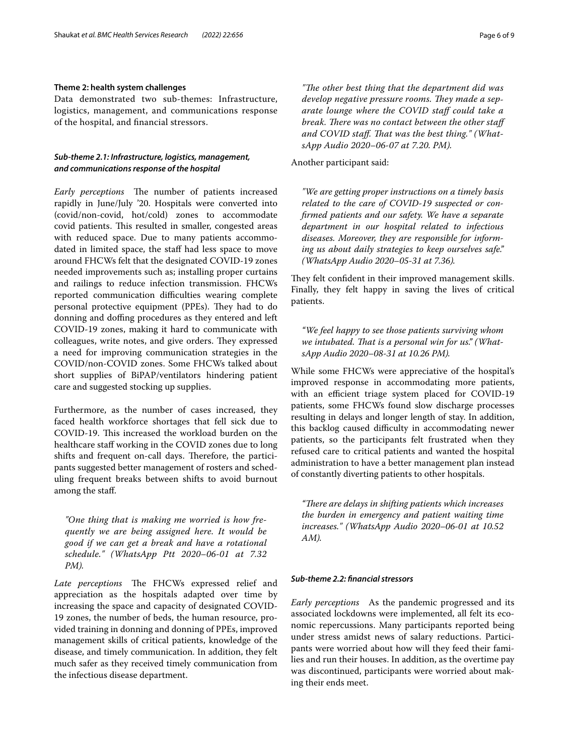## **Theme 2: health system challenges**

Data demonstrated two sub-themes: Infrastructure, logistics, management, and communications response of the hospital, and fnancial stressors.

# *Sub‑theme 2.1: Infrastructure, logistics, management, and communications response of the hospital*

Early perceptions The number of patients increased rapidly in June/July '20. Hospitals were converted into (covid/non-covid, hot/cold) zones to accommodate covid patients. This resulted in smaller, congested areas with reduced space. Due to many patients accommodated in limited space, the staff had less space to move around FHCWs felt that the designated COVID-19 zones needed improvements such as; installing proper curtains and railings to reduce infection transmission. FHCWs reported communication difficulties wearing complete personal protective equipment (PPEs). They had to do donning and doffing procedures as they entered and left COVID-19 zones, making it hard to communicate with colleagues, write notes, and give orders. They expressed a need for improving communication strategies in the COVID/non-COVID zones. Some FHCWs talked about short supplies of BiPAP/ventilators hindering patient care and suggested stocking up supplies.

Furthermore, as the number of cases increased, they faced health workforce shortages that fell sick due to COVID-19. This increased the workload burden on the healthcare staff working in the COVID zones due to long shifts and frequent on-call days. Therefore, the participants suggested better management of rosters and scheduling frequent breaks between shifts to avoid burnout among the staf.

*"One thing that is making me worried is how frequently we are being assigned here. It would be good if we can get a break and have a rotational schedule." (WhatsApp Ptt 2020–06-01 at 7.32 PM).*

Late perceptions The FHCWs expressed relief and appreciation as the hospitals adapted over time by increasing the space and capacity of designated COVID-19 zones, the number of beds, the human resource, provided training in donning and donning of PPEs, improved management skills of critical patients, knowledge of the disease, and timely communication. In addition, they felt much safer as they received timely communication from the infectious disease department.

"The other best thing that the department did was develop negative pressure rooms. They made a sep*arate lounge where the COVID staf could take a break. There was no contact between the other staff* and COVID staff. That was the best thing." (What*sApp Audio 2020–06-07 at 7.20. PM).*

#### Another participant said:

*"We are getting proper instructions on a timely basis related to the care of COVID-19 suspected or confrmed patients and our safety. We have a separate department in our hospital related to infectious diseases. Moreover, they are responsible for informing us about daily strategies to keep ourselves safe." (WhatsApp Audio 2020–05-31 at 7.36).*

They felt confident in their improved management skills. Finally, they felt happy in saving the lives of critical patients.

*"We feel happy to see those patients surviving whom*  we intubated. That is a personal win for us." (What*sApp Audio 2020–08-31 at 10.26 PM).*

While some FHCWs were appreciative of the hospital's improved response in accommodating more patients, with an efficient triage system placed for COVID-19 patients, some FHCWs found slow discharge processes resulting in delays and longer length of stay. In addition, this backlog caused difficulty in accommodating newer patients, so the participants felt frustrated when they refused care to critical patients and wanted the hospital administration to have a better management plan instead of constantly diverting patients to other hospitals.

*"Tere are delays in shifting patients which increases the burden in emergency and patient waiting time increases." (WhatsApp Audio 2020–06-01 at 10.52 AM).*

## *Sub‑theme 2.2: fnancial stressors*

*Early perceptions* As the pandemic progressed and its associated lockdowns were implemented, all felt its economic repercussions. Many participants reported being under stress amidst news of salary reductions. Participants were worried about how will they feed their families and run their houses. In addition, as the overtime pay was discontinued, participants were worried about making their ends meet.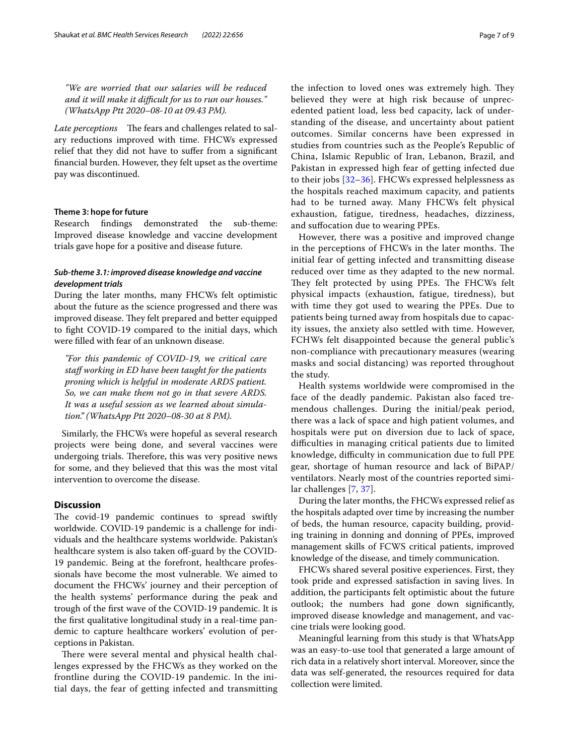*"We are worried that our salaries will be reduced and it will make it difcult for us to run our houses." (WhatsApp Ptt 2020–08-10 at 09.43 PM).*

*Late perceptions* The fears and challenges related to salary reductions improved with time. FHCWs expressed relief that they did not have to sufer from a signifcant fnancial burden. However, they felt upset as the overtime pay was discontinued.

#### **Theme 3: hope for future**

Research fndings demonstrated the sub-theme: Improved disease knowledge and vaccine development trials gave hope for a positive and disease future.

# *Sub‑theme 3.1: improved disease knowledge and vaccine development trials*

During the later months, many FHCWs felt optimistic about the future as the science progressed and there was improved disease. They felt prepared and better equipped to fght COVID-19 compared to the initial days, which were flled with fear of an unknown disease.

*"For this pandemic of COVID-19, we critical care staf working in ED have been taught for the patients proning which is helpful in moderate ARDS patient. So, we can make them not go in that severe ARDS. It was a useful session as we learned about simulation." (WhatsApp Ptt 2020–08-30 at 8 PM).*

Similarly, the FHCWs were hopeful as several research projects were being done, and several vaccines were undergoing trials. Therefore, this was very positive news for some, and they believed that this was the most vital intervention to overcome the disease.

# **Discussion**

The covid-19 pandemic continues to spread swiftly worldwide. COVID-19 pandemic is a challenge for individuals and the healthcare systems worldwide. Pakistan's healthcare system is also taken off-guard by the COVID-19 pandemic. Being at the forefront, healthcare professionals have become the most vulnerable. We aimed to document the FHCWs' journey and their perception of the health systems' performance during the peak and trough of the frst wave of the COVID-19 pandemic. It is the frst qualitative longitudinal study in a real-time pandemic to capture healthcare workers' evolution of perceptions in Pakistan.

There were several mental and physical health challenges expressed by the FHCWs as they worked on the frontline during the COVID-19 pandemic. In the initial days, the fear of getting infected and transmitting the infection to loved ones was extremely high. They believed they were at high risk because of unprecedented patient load, less bed capacity, lack of understanding of the disease, and uncertainty about patient outcomes. Similar concerns have been expressed in studies from countries such as the People's Republic of China, Islamic Republic of Iran, Lebanon, Brazil, and Pakistan in expressed high fear of getting infected due to their jobs [[32–](#page-8-22)[36\]](#page-8-23). FHCWs expressed helplessness as the hospitals reached maximum capacity, and patients had to be turned away. Many FHCWs felt physical exhaustion, fatigue, tiredness, headaches, dizziness, and sufocation due to wearing PPEs.

However, there was a positive and improved change in the perceptions of FHCWs in the later months. The initial fear of getting infected and transmitting disease reduced over time as they adapted to the new normal. They felt protected by using PPEs. The FHCWs felt physical impacts (exhaustion, fatigue, tiredness), but with time they got used to wearing the PPEs. Due to patients being turned away from hospitals due to capacity issues, the anxiety also settled with time. However, FCHWs felt disappointed because the general public's non-compliance with precautionary measures (wearing masks and social distancing) was reported throughout the study.

Health systems worldwide were compromised in the face of the deadly pandemic. Pakistan also faced tremendous challenges. During the initial/peak period, there was a lack of space and high patient volumes, and hospitals were put on diversion due to lack of space, difculties in managing critical patients due to limited knowledge, difficulty in communication due to full PPE gear, shortage of human resource and lack of BiPAP/ ventilators. Nearly most of the countries reported similar challenges [[7,](#page-8-3) [37\]](#page-8-24).

During the later months, the FHCWs expressed relief as the hospitals adapted over time by increasing the number of beds, the human resource, capacity building, providing training in donning and donning of PPEs, improved management skills of FCWS critical patients, improved knowledge of the disease, and timely communication.

FHCWs shared several positive experiences. First, they took pride and expressed satisfaction in saving lives. In addition, the participants felt optimistic about the future outlook; the numbers had gone down signifcantly, improved disease knowledge and management, and vaccine trials were looking good.

Meaningful learning from this study is that WhatsApp was an easy-to-use tool that generated a large amount of rich data in a relatively short interval. Moreover, since the data was self-generated, the resources required for data collection were limited.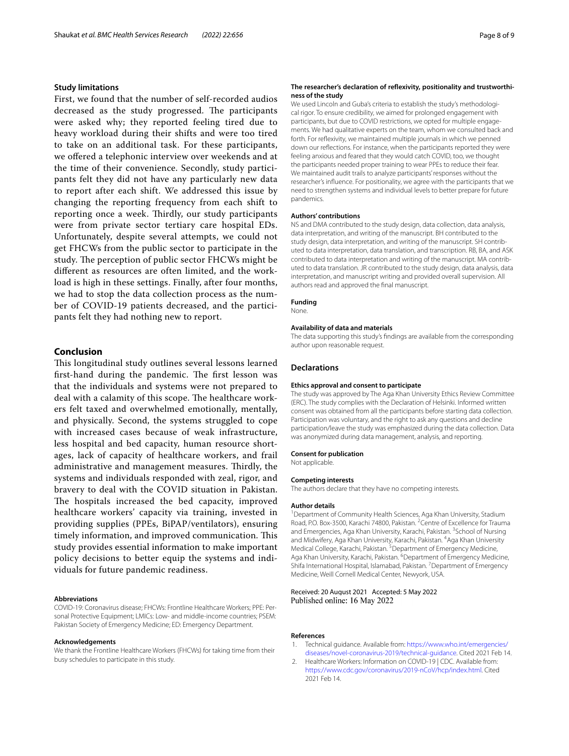#### **Study limitations**

First, we found that the number of self-recorded audios decreased as the study progressed. The participants were asked why; they reported feeling tired due to heavy workload during their shifts and were too tired to take on an additional task. For these participants, we offered a telephonic interview over weekends and at the time of their convenience. Secondly, study participants felt they did not have any particularly new data to report after each shift. We addressed this issue by changing the reporting frequency from each shift to reporting once a week. Thirdly, our study participants were from private sector tertiary care hospital EDs. Unfortunately, despite several attempts, we could not get FHCWs from the public sector to participate in the study. The perception of public sector FHCWs might be diferent as resources are often limited, and the workload is high in these settings. Finally, after four months, we had to stop the data collection process as the number of COVID-19 patients decreased, and the participants felt they had nothing new to report.

# **Conclusion**

This longitudinal study outlines several lessons learned first-hand during the pandemic. The first lesson was that the individuals and systems were not prepared to deal with a calamity of this scope. The healthcare workers felt taxed and overwhelmed emotionally, mentally, and physically. Second, the systems struggled to cope with increased cases because of weak infrastructure, less hospital and bed capacity, human resource shortages, lack of capacity of healthcare workers, and frail administrative and management measures. Thirdly, the systems and individuals responded with zeal, rigor, and bravery to deal with the COVID situation in Pakistan. The hospitals increased the bed capacity, improved healthcare workers' capacity via training, invested in providing supplies (PPEs, BiPAP/ventilators), ensuring timely information, and improved communication. This study provides essential information to make important policy decisions to better equip the systems and individuals for future pandemic readiness.

#### **Abbreviations**

COVID-19: Coronavirus disease; FHCWs: Frontline Healthcare Workers; PPE: Personal Protective Equipment; LMICs: Low- and middle-income countries; PSEM: Pakistan Society of Emergency Medicine; ED: Emergency Department.

#### **Acknowledgements**

We thank the Frontline Healthcare Workers (FHCWs) for taking time from their busy schedules to participate in this study.

#### **The researcher's declaration of reflexivity, positionality and trustworthi‑ ness of the study**

We used Lincoln and Guba's criteria to establish the study's methodological rigor. To ensure credibility, we aimed for prolonged engagement with participants, but due to COVID restrictions, we opted for multiple engagements. We had qualitative experts on the team, whom we consulted back and forth. For refexivity, we maintained multiple journals in which we penned down our refections. For instance, when the participants reported they were feeling anxious and feared that they would catch COVID, too, we thought the participants needed proper training to wear PPEs to reduce their fear. We maintained audit trails to analyze participants' responses without the researcher's infuence. For positionality, we agree with the participants that we need to strengthen systems and individual levels to better prepare for future pandemics.

#### **Authors' contributions**

NS and DMA contributed to the study design, data collection, data analysis, data interpretation, and writing of the manuscript. BH contributed to the study design, data interpretation, and writing of the manuscript. SH contributed to data interpretation, data translation, and transcription. RB, BA, and ASK contributed to data interpretation and writing of the manuscript. MA contributed to data translation. JR contributed to the study design, data analysis, data interpretation, and manuscript writing and provided overall supervision. All authors read and approved the fnal manuscript.

#### **Funding**

None.

## **Availability of data and materials**

The data supporting this study's fndings are available from the corresponding author upon reasonable request.

#### **Declarations**

#### **Ethics approval and consent to participate**

The study was approved by The Aga Khan University Ethics Review Committee (ERC). The study complies with the Declaration of Helsinki. Informed written consent was obtained from all the participants before starting data collection. Participation was voluntary, and the right to ask any questions and decline participation/leave the study was emphasized during the data collection. Data was anonymized during data management, analysis, and reporting.

#### **Consent for publication**

Not applicable.

#### **Competing interests**

The authors declare that they have no competing interests.

#### **Author details**

<sup>1</sup> Department of Community Health Sciences, Aga Khan University, Stadium Road, P.O. Box-3500, Karachi 74800, Pakistan. <sup>2</sup> Centre of Excellence for Trauma and Emergencies, Aga Khan University, Karachi, Pakistan. <sup>3</sup> School of Nursing and Midwifery, Aga Khan University, Karachi, Pakistan. <sup>4</sup> Aga Khan University Medical College, Karachi, Pakistan.<sup>5</sup> Department of Emergency Medicine, Aga Khan University, Karachi, Pakistan. <sup>6</sup> Department of Emergency Medicine, Shifa International Hospital, Islamabad, Pakistan. <sup>7</sup> Department of Emergency Medicine, Weill Cornell Medical Center, Newyork, USA.

#### Received: 20 August 2021 Accepted: 5 May 2022 Published online: 16 May 2022

#### **References**

- <span id="page-7-0"></span>Technical guidance. Available from: [https://www.who.int/emergencies/](https://www.who.int/emergencies/diseases/novel-coronavirus-2019/technical-guidance) [diseases/novel-coronavirus-2019/technical-guidance.](https://www.who.int/emergencies/diseases/novel-coronavirus-2019/technical-guidance) Cited 2021 Feb 14.
- <span id="page-7-1"></span>2. Healthcare Workers: Information on COVID-19 | CDC. Available from: <https://www.cdc.gov/coronavirus/2019-nCoV/hcp/index.html>. Cited 2021 Feb 14.